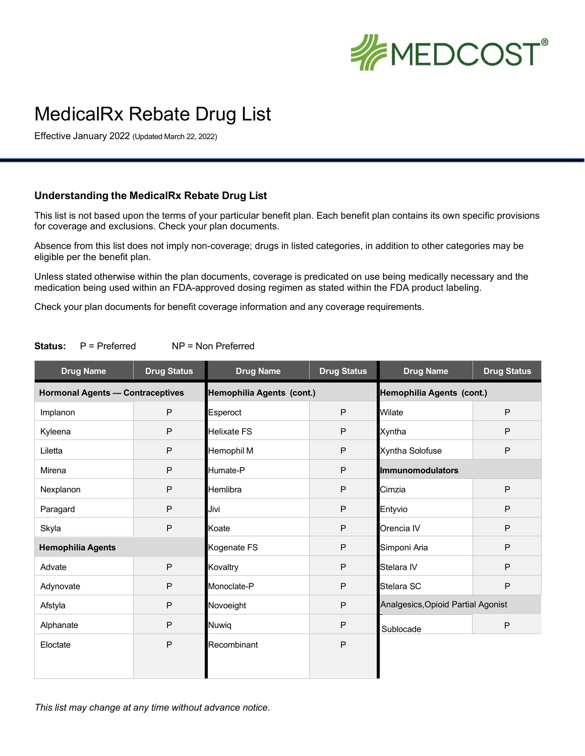

## MedicalRx Rebate Drug List

Effective January 2022 (Updated March 22, 2022)

## **Understanding the MedicalRx Rebate Drug List**

This list is not based upon the terms of your particular benefit plan. Each benefit plan contains its own specific provisions for coverage and exclusions. Check your plan documents.

Absence from this list does not imply non-coverage; drugs in listed categories, in addition to other categories may be eligible per the benefit plan.

Unless stated otherwise within the plan documents, coverage is predicated on use being medically necessary and the medication being used within an FDA-approved dosing regimen as stated within the FDA product labeling.

Check your plan documents for benefit coverage information and any coverage requirements.

| <b>Drug Name</b>                        | <b>Drug Status</b> | <b>Drug Name</b>          | <b>Drug Status</b> | <b>Drug Name</b>                   | <b>Drug Status</b> |  |
|-----------------------------------------|--------------------|---------------------------|--------------------|------------------------------------|--------------------|--|
| <b>Hormonal Agents - Contraceptives</b> |                    | Hemophilia Agents (cont.) |                    | Hemophilia Agents (cont.)          |                    |  |
| Implanon                                | P                  | Esperoct                  | $\mathsf P$        | Wilate                             | P                  |  |
| Kyleena                                 | P                  | <b>Helixate FS</b>        | P                  | Xyntha                             | $\mathsf{P}$       |  |
| Liletta                                 | P                  | Hemophil M                | $\sf P$            | Xyntha Solofuse                    | $\mathsf{P}$       |  |
| Mirena                                  | P                  | Humate-P                  | P                  | <b>Immunomodulators</b>            |                    |  |
| Nexplanon                               | P                  | Hemlibra                  | P                  | Cimzia                             | $\mathsf{P}$       |  |
| Paragard                                | P                  | Jivi                      | P                  | Entyvio                            | $\mathsf{P}$       |  |
| Skyla                                   | P                  | Koate                     | P                  | Orencia IV                         | P                  |  |
| <b>Hemophilia Agents</b>                |                    | Kogenate FS               | P                  | Simponi Aria                       | P                  |  |
| Advate                                  | P                  | Kovaltry                  | P                  | Stelara IV                         | P                  |  |
| Adynovate                               | P                  | Monoclate-P               | $\mathsf{P}$       | Stelara SC                         | $\mathsf{P}$       |  |
| Afstyla                                 | P                  | Novoeight                 | P                  | Analgesics, Opioid Partial Agonist |                    |  |
| Alphanate                               | P                  | Nuwiq                     | $\mathsf{P}$       | Sublocade                          | $\sf P$            |  |
| Eloctate                                | P                  | Recombinant               | $\mathsf{P}$       |                                    |                    |  |
|                                         |                    |                           |                    |                                    |                    |  |
|                                         |                    |                           |                    |                                    |                    |  |

**Status:** P = Preferred NP = Non Preferred

*This list may change at any time without advance notice.*